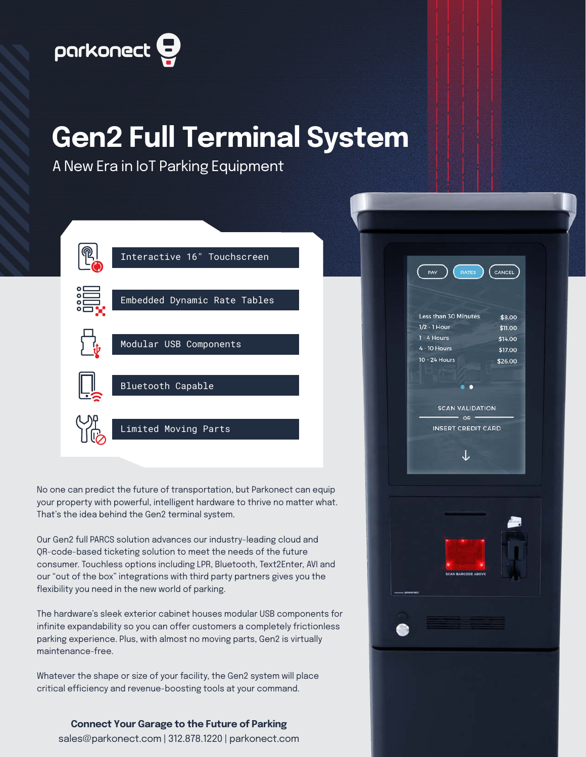

## **Gen2 Full Terminal System**

A New Era in IoT Parking Equipment



No one can predict the future of transportation, but Parkonect can equip your property with powerful, intelligent hardware to thrive no matter what. That's the idea behind the Gen2 terminal system.

Our Gen2 full PARCS solution advances our industry-leading cloud and QR-code-based ticketing solution to meet the needs of the future consumer. Touchless options including LPR, Bluetooth, Text2Enter, AVI and our "out of the box" integrations with third party partners gives you the flexibility you need in the new world of parking.

The hardware's sleek exterior cabinet houses modular USB components for infinite expandability so you can offer customers a completely frictionless parking experience. Plus, with almost no moving parts, Gen2 is virtually maintenance-free.

Whatever the shape or size of your facility, the Gen2 system will place critical efficiency and revenue-boosting tools at your command.



**Connect Your Garage to the Future of Parking** sales@parkonect.com | 312.878.1220 | parkonect.com